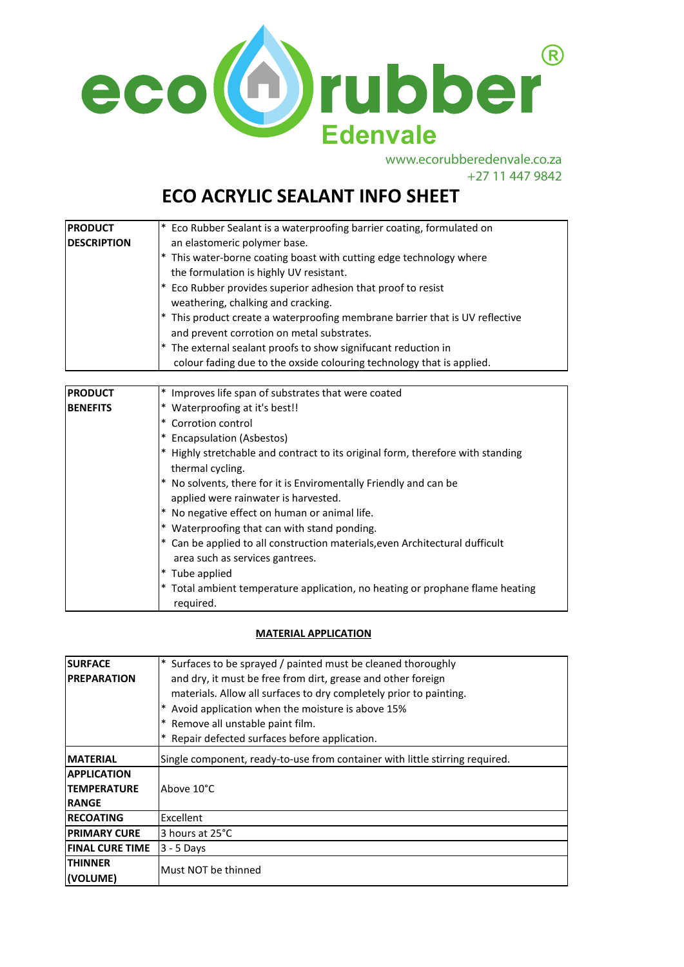

www.ecorubberedenvale.co.za +27 11 447 9842

# **ECO ACRYLIC SEALANT INFO SHEET**

| <b>PRODUCT</b>     | * Eco Rubber Sealant is a waterproofing barrier coating, formulated on       |
|--------------------|------------------------------------------------------------------------------|
| <b>DESCRIPTION</b> | an elastomeric polymer base.                                                 |
|                    | This water-borne coating boast with cutting edge technology where            |
|                    | the formulation is highly UV resistant.                                      |
|                    | * Eco Rubber provides superior adhesion that proof to resist                 |
|                    | weathering, chalking and cracking.                                           |
|                    | * This product create a waterproofing membrane barrier that is UV reflective |
|                    | and prevent corrotion on metal substrates.                                   |
|                    | * The external sealant proofs to show signifucant reduction in               |
|                    | colour fading due to the oxside colouring technology that is applied.        |

| <b>PRODUCT</b> | Improves life span of substrates that were coated                                                             |
|----------------|---------------------------------------------------------------------------------------------------------------|
| IBENEFITS      | Waterproofing at it's best!!                                                                                  |
|                | Corrotion control<br>$\ast$                                                                                   |
|                | <b>Encapsulation (Asbestos)</b>                                                                               |
|                | Highly stretchable and contract to its original form, therefore with standing<br>thermal cycling.             |
|                | No solvents, there for it is Enviromentally Friendly and can be<br>applied were rainwater is harvested.       |
|                | No negative effect on human or animal life.                                                                   |
|                | Waterproofing that can with stand ponding.                                                                    |
|                | Can be applied to all construction materials, even Architectural dufficult<br>area such as services gantrees. |
|                | Tube applied                                                                                                  |
|                | Total ambient temperature application, no heating or prophane flame heating<br>required.                      |

## **MATERIAL APPLICATION**

| <b>SURFACE</b>         | * Surfaces to be sprayed / painted must be cleaned thoroughly                |
|------------------------|------------------------------------------------------------------------------|
| <b>PREPARATION</b>     | and dry, it must be free from dirt, grease and other foreign                 |
|                        | materials. Allow all surfaces to dry completely prior to painting.           |
|                        | * Avoid application when the moisture is above 15%                           |
|                        | * Remove all unstable paint film.                                            |
|                        | * Repair defected surfaces before application.                               |
| <b>IMATERIAL</b>       | Single component, ready-to-use from container with little stirring required. |
| <b>APPLICATION</b>     |                                                                              |
| <b>TEMPERATURE</b>     | Above 10°C                                                                   |
| <b>RANGE</b>           |                                                                              |
| <b>RECOATING</b>       | Excellent                                                                    |
| <b>PRIMARY CURE</b>    | 3 hours at 25°C                                                              |
| <b>FINAL CURE TIME</b> | $3 - 5$ Days                                                                 |
| <b>ITHINNER</b>        | Must NOT be thinned                                                          |
| l(VOLUME)              |                                                                              |